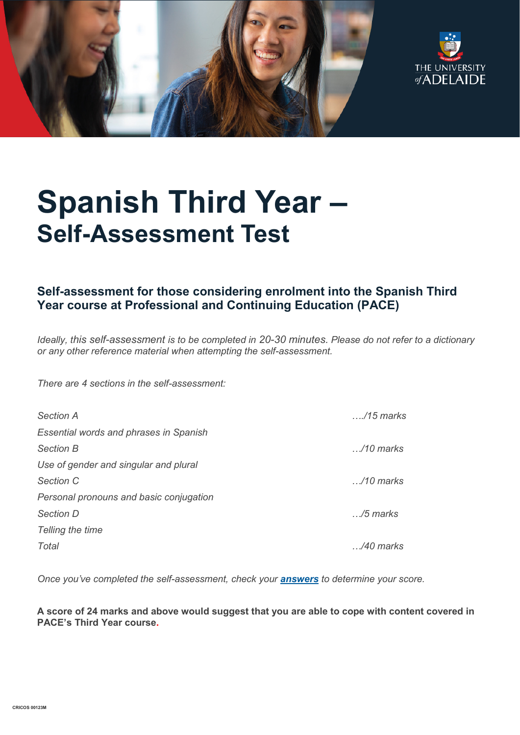



# **Spanish Third Year – Self-Assessment Test**

# **Self-assessment for those considering enrolment into the Spanish Third Year course at Professional and Continuing Education (PACE)**

*Ideally, this self-assessment is to be completed in 20-30 minutes. Please do not refer to a dictionary or any other reference material when attempting the self-assessment.*

*There are 4 sections in the self-assessment:*

| <b>Section A</b>                              | $\ldots$ /15 marks |
|-----------------------------------------------|--------------------|
| <b>Essential words and phrases in Spanish</b> |                    |
| <b>Section B</b>                              | $\ldots$ /10 marks |
| Use of gender and singular and plural         |                    |
| Section C                                     | $\ldots$ /10 marks |
| Personal pronouns and basic conjugation       |                    |
| <b>Section D</b>                              | $\ldots$ /5 marks  |
| Telling the time                              |                    |
| Total                                         | /40 marks          |

*Once you've completed the self-assessment, check your [answers](https://www.adelaide.edu.au/pace/system/files/media/documents/2021-11/placement_test-spanish_year_3_answers.pdf) to determine your score.* 

**A score of 24 marks and above would suggest that you are able to cope with content covered in PACE's Third Year course.**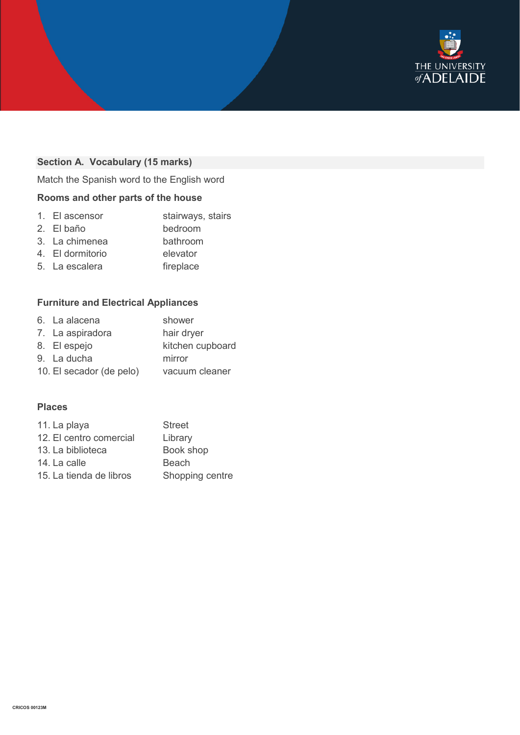

# **Section A. Vocabulary (15 marks)**

Match the Spanish word to the English word

## **Rooms and other parts of the house**

|  | 1. El ascensor | stairways, stairs |
|--|----------------|-------------------|
|--|----------------|-------------------|

- 2. El baño bedroom
- 3. La chimenea bathroom
- 4. El dormitorio elevator
- 5. La escalera **fireplace**

## **Furniture and Electrical Appliances**

| 6. La alacena            | shower           |
|--------------------------|------------------|
| 7. La aspiradora         | hair dryer       |
| 8. El espejo             | kitchen cupboard |
| 9. La ducha              | mirror           |
| 10. El secador (de pelo) | vacuum cleaner   |

#### **Places**

| 11. La playa            | <b>Street</b>   |
|-------------------------|-----------------|
| 12. El centro comercial | Library         |
| 13. La biblioteca       | Book shop       |
| 14. La calle            | Beach           |
| 15. La tienda de libros | Shopping centre |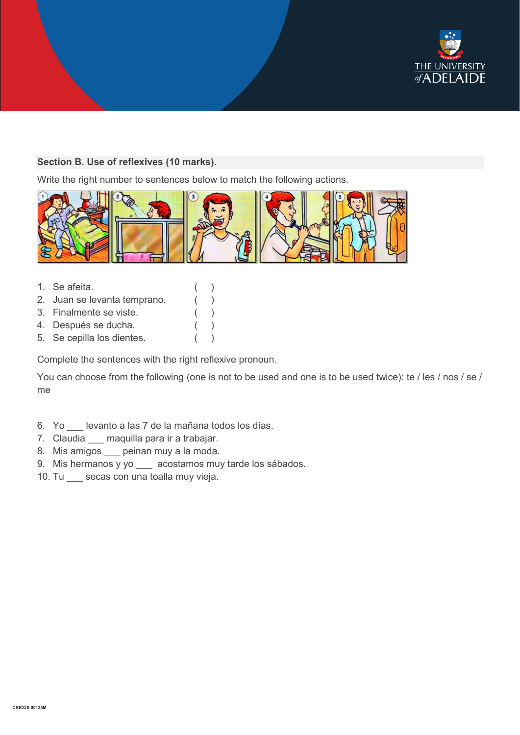

#### **Section B. Use of reflexives (10 marks).**

Write the right number to sentences below to match the following actions.



- 1. Se afeita. ( )
- 2. Juan se levanta temprano. ( )
- 3. Finalmente se viste. ( )
- 4. Después se ducha. ( )
- 5. Se cepilla los dientes. ( )

Complete the sentences with the right reflexive pronoun.

You can choose from the following (one is not to be used and one is to be used twice): te / les / nos / se / me

- 6. Yo \_\_\_ levanto a las 7 de la mañana todos los días.
- 7. Claudia \_\_\_ maquilla para ir a trabajar.
- 8. Mis amigos \_\_\_ peinan muy a la moda.
- 9. Mis hermanos y yo acostamos muy tarde los sábados.
- 10. Tu secas con una toalla muy vieja.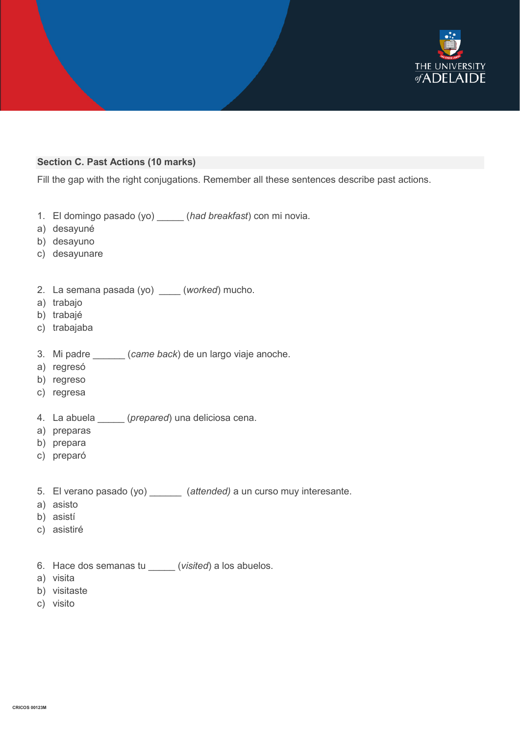

#### **Section C. Past Actions (10 marks)**

Fill the gap with the right conjugations. Remember all these sentences describe past actions.

- 1. El domingo pasado (yo) \_\_\_\_\_ (*had breakfast*) con mi novia.
- a) desayuné
- b) desayuno
- c) desayunare
- 2. La semana pasada (yo) \_\_\_\_ (*worked*) mucho.
- a) trabajo
- b) trabajé
- c) trabajaba
- 3. Mi padre \_\_\_\_\_\_ (*came back*) de un largo viaje anoche.
- a) regresó
- b) regreso
- c) regresa
- 4. La abuela \_\_\_\_\_ (*prepared*) una deliciosa cena.
- a) preparas
- b) prepara
- c) preparó
- 5. El verano pasado (yo) \_\_\_\_\_\_ (*attended)* a un curso muy interesante.
- a) asisto
- b) asistí
- c) asistiré
- 6. Hace dos semanas tu \_\_\_\_\_ (*visited*) a los abuelos.
- a) visita
- b) visitaste
- c) visito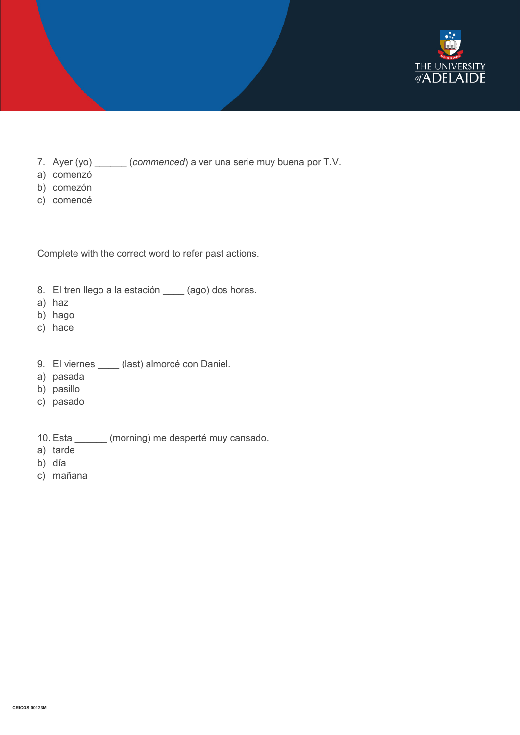

- 7. Ayer (yo) \_\_\_\_\_\_ (*commenced*) a ver una serie muy buena por T.V.
- a) comenzó
- b) comezón
- c) comencé

Complete with the correct word to refer past actions.

- 8. El tren llego a la estación \_\_\_\_ (ago) dos horas.
- a) haz
- b) hago
- c) hace
- 9. El viernes \_\_\_\_ (last) almorcé con Daniel.
- a) pasada
- b) pasillo
- c) pasado
- 10. Esta \_\_\_\_\_\_ (morning) me desperté muy cansado.
- a) tarde
- b) día
- c) mañana